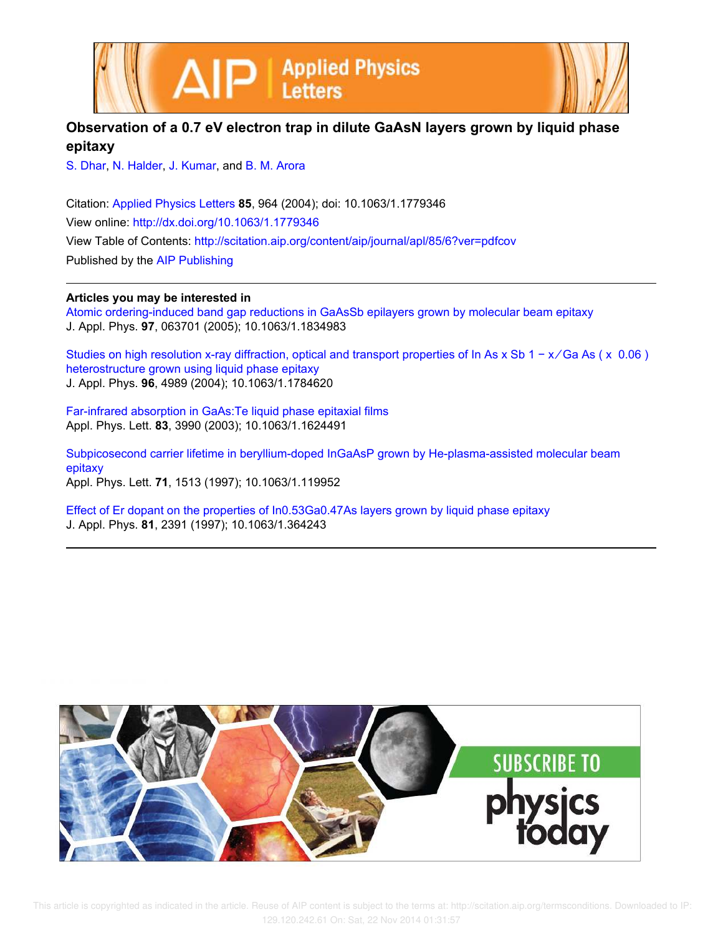



## **Observation of a 0.7 eV electron trap in dilute GaAsN layers grown by liquid phase epitaxy**

S. Dhar, N. Halder, J. Kumar, and B. M. Arora

Citation: Applied Physics Letters **85**, 964 (2004); doi: 10.1063/1.1779346 View online: http://dx.doi.org/10.1063/1.1779346 View Table of Contents: http://scitation.aip.org/content/aip/journal/apl/85/6?ver=pdfcov Published by the AIP Publishing

## **Articles you may be interested in**

Atomic ordering-induced band gap reductions in GaAsSb epilayers grown by molecular beam epitaxy J. Appl. Phys. **97**, 063701 (2005); 10.1063/1.1834983

Studies on high resolution x-ray diffraction, optical and transport properties of In As x Sb 1 − x/Ga As (x 0.06) heterostructure grown using liquid phase epitaxy J. Appl. Phys. **96**, 4989 (2004); 10.1063/1.1784620

Far-infrared absorption in GaAs:Te liquid phase epitaxial films Appl. Phys. Lett. **83**, 3990 (2003); 10.1063/1.1624491

Subpicosecond carrier lifetime in beryllium-doped InGaAsP grown by He-plasma-assisted molecular beam epitaxy Appl. Phys. Lett. **71**, 1513 (1997); 10.1063/1.119952

Effect of Er dopant on the properties of In0.53Ga0.47As layers grown by liquid phase epitaxy J. Appl. Phys. **81**, 2391 (1997); 10.1063/1.364243

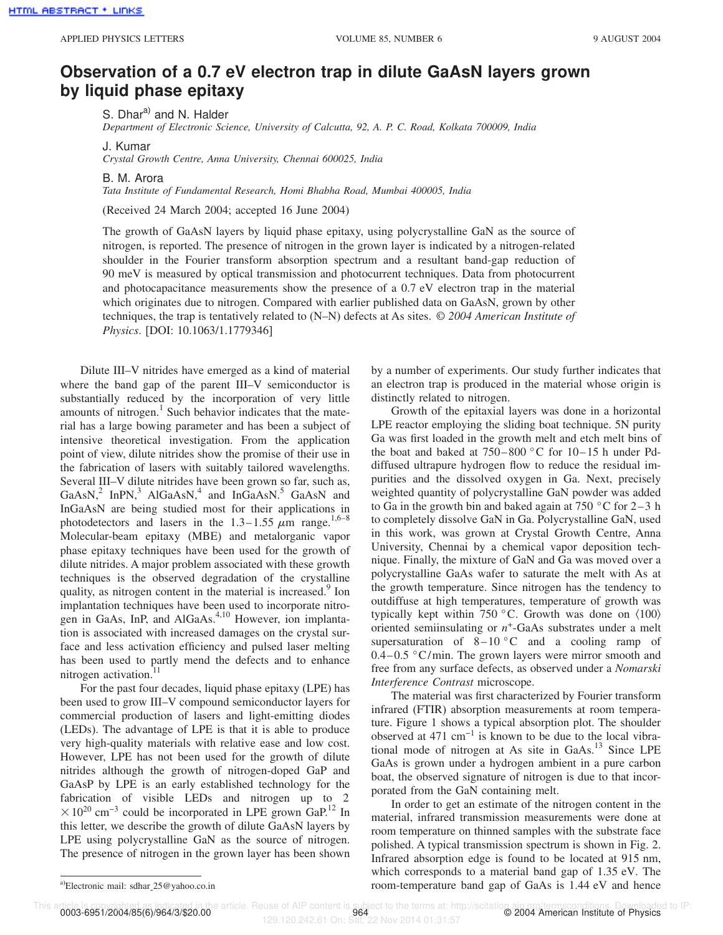## **Observation of a 0.7 eV electron trap in dilute GaAsN layers grown by liquid phase epitaxy**

S. Dhar<sup>a)</sup> and N. Halder

*Department of Electronic Science, University of Calcutta, 92, A. P. C. Road, Kolkata 700009, India*

J. Kumar

*Crystal Growth Centre, Anna University, Chennai 600025, India*

B. M. Arora

*Tata Institute of Fundamental Research, Homi Bhabha Road, Mumbai 400005, India*

(Received 24 March 2004; accepted 16 June 2004)

The growth of GaAsN layers by liquid phase epitaxy, using polycrystalline GaN as the source of nitrogen, is reported. The presence of nitrogen in the grown layer is indicated by a nitrogen-related shoulder in the Fourier transform absorption spectrum and a resultant band-gap reduction of 90 meV is measured by optical transmission and photocurrent techniques. Data from photocurrent and photocapacitance measurements show the presence of a 0.7 eV electron trap in the material which originates due to nitrogen. Compared with earlier published data on GaAsN, grown by other techniques, the trap is tentatively related to (N–N) defects at As sites. © *2004 American Institute of Physics*. [DOI: 10.1063/1.1779346]

Dilute III–V nitrides have emerged as a kind of material where the band gap of the parent III–V semiconductor is substantially reduced by the incorporation of very little amounts of nitrogen. $1$  Such behavior indicates that the material has a large bowing parameter and has been a subject of intensive theoretical investigation. From the application point of view, dilute nitrides show the promise of their use in the fabrication of lasers with suitably tailored wavelengths. Several III–V dilute nitrides have been grown so far, such as,  $GaAsN<sup>2</sup>$  InPN,<sup>3</sup> AlGaAsN,<sup>4</sup> and InGaAsN.<sup>5</sup> GaAsN and InGaAsN are being studied most for their applications in photodetectors and lasers in the 1.3–1.55  $\mu$ m range.<sup>1,6–8</sup> Molecular-beam epitaxy (MBE) and metalorganic vapor phase epitaxy techniques have been used for the growth of dilute nitrides. A major problem associated with these growth techniques is the observed degradation of the crystalline quality, as nitrogen content in the material is increased.<sup>9</sup> Ion implantation techniques have been used to incorporate nitrogen in GaAs, InP, and AlGaAs.<sup>4,10</sup> However, ion implantation is associated with increased damages on the crystal surface and less activation efficiency and pulsed laser melting has been used to partly mend the defects and to enhance nitrogen activation.<sup>11</sup>

For the past four decades, liquid phase epitaxy (LPE) has been used to grow III–V compound semiconductor layers for commercial production of lasers and light-emitting diodes (LEDs). The advantage of LPE is that it is able to produce very high-quality materials with relative ease and low cost. However, LPE has not been used for the growth of dilute nitrides although the growth of nitrogen-doped GaP and GaAsP by LPE is an early established technology for the fabrication of visible LEDs and nitrogen up to 2  $\times$ 10<sup>20</sup> cm<sup>-3</sup> could be incorporated in LPE grown GaP.<sup>12</sup> In this letter, we describe the growth of dilute GaAsN layers by LPE using polycrystalline GaN as the source of nitrogen. The presence of nitrogen in the grown layer has been shown

by a number of experiments. Our study further indicates that an electron trap is produced in the material whose origin is distinctly related to nitrogen.

Growth of the epitaxial layers was done in a horizontal LPE reactor employing the sliding boat technique. 5N purity Ga was first loaded in the growth melt and etch melt bins of the boat and baked at  $750-800$  °C for  $10-15$  h under Pddiffused ultrapure hydrogen flow to reduce the residual impurities and the dissolved oxygen in Ga. Next, precisely weighted quantity of polycrystalline GaN powder was added to Ga in the growth bin and baked again at  $750\degree$ C for  $2-3$  h to completely dissolve GaN in Ga. Polycrystalline GaN, used in this work, was grown at Crystal Growth Centre, Anna University, Chennai by a chemical vapor deposition technique. Finally, the mixture of GaN and Ga was moved over a polycrystalline GaAs wafer to saturate the melt with As at the growth temperature. Since nitrogen has the tendency to outdiffuse at high temperatures, temperature of growth was typically kept within 750 °C. Growth was done on  $\langle 100 \rangle$ oriented semiinsulating or  $n^+$ -GaAs substrates under a melt supersaturation of  $8-10$  °C and a cooling ramp of  $0.4-0.5$  °C/min. The grown layers were mirror smooth and free from any surface defects, as observed under a *Nomarski Interference Contrast* microscope.

The material was first characterized by Fourier transform infrared (FTIR) absorption measurements at room temperature. Figure 1 shows a typical absorption plot. The shoulder observed at 471 cm−1 is known to be due to the local vibrational mode of nitrogen at As site in GaAs.<sup>13</sup> Since LPE GaAs is grown under a hydrogen ambient in a pure carbon boat, the observed signature of nitrogen is due to that incorporated from the GaN containing melt.

In order to get an estimate of the nitrogen content in the material, infrared transmission measurements were done at room temperature on thinned samples with the substrate face polished. A typical transmission spectrum is shown in Fig. 2. Infrared absorption edge is found to be located at 915 nm, which corresponds to a material band gap of 1.35 eV. The room-temperature band gap of GaAs is 1.44 eV and hence

This article is copyrighted as indicated in the article. Reuse of AIP content is subject to the terms at: http://scitation.ajp.org/termsconditions. Downloaded to IP:<br>2004 American Institute of Physics<br>2004 American Institu

<sup>&</sup>lt;sup>a)</sup>Electronic mail: sdhar  $25@$ yahoo.co.in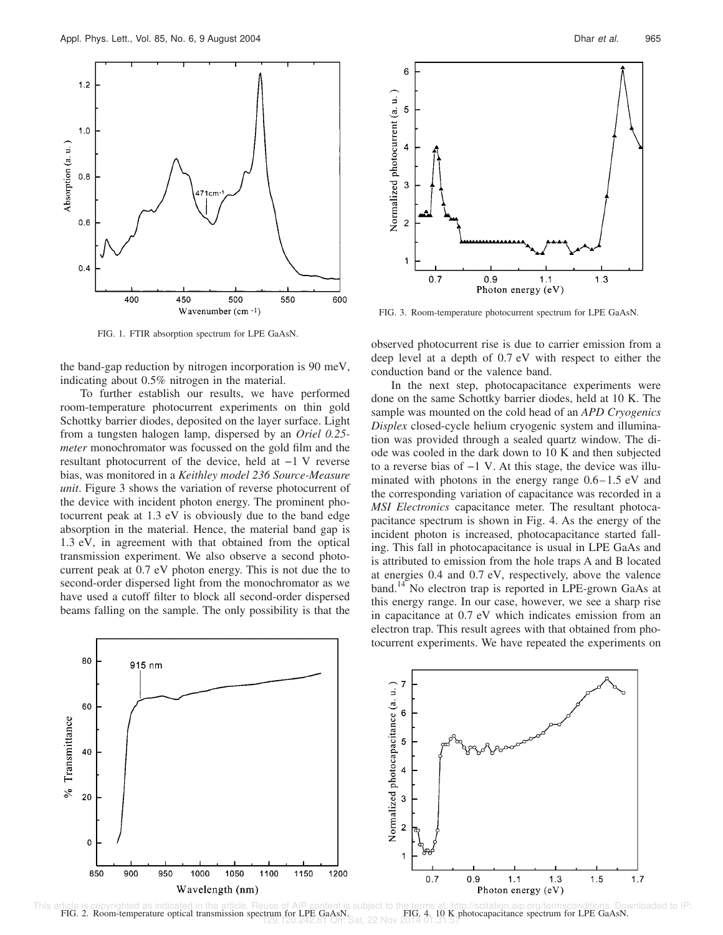

FIG. 1. FTIR absorption spectrum for LPE GaAsN.

the band-gap reduction by nitrogen incorporation is 90 meV, indicating about 0.5% nitrogen in the material.

To further establish our results, we have performed room-temperature photocurrent experiments on thin gold Schottky barrier diodes, deposited on the layer surface. Light from a tungsten halogen lamp, dispersed by an *Oriel 0.25 meter* monochromator was focussed on the gold film and the resultant photocurrent of the device, held at −1 V reverse bias, was monitored in a *Keithley model 236 Source-Measure unit*. Figure 3 shows the variation of reverse photocurrent of the device with incident photon energy. The prominent photocurrent peak at 1.3 eV is obviously due to the band edge absorption in the material. Hence, the material band gap is 1.3 eV, in agreement with that obtained from the optical transmission experiment. We also observe a second photocurrent peak at 0.7 eV photon energy. This is not due the to second-order dispersed light from the monochromator as we have used a cutoff filter to block all second-order dispersed beams falling on the sample. The only possibility is that the



FIG. 3. Room-temperature photocurrent spectrum for LPE GaAsN.

observed photocurrent rise is due to carrier emission from a deep level at a depth of 0.7 eV with respect to either the conduction band or the valence band.

In the next step, photocapacitance experiments were done on the same Schottky barrier diodes, held at 10 K. The sample was mounted on the cold head of an *APD Cryogenics Displex* closed-cycle helium cryogenic system and illumination was provided through a sealed quartz window. The diode was cooled in the dark down to 10 K and then subjected to a reverse bias of −1 V. At this stage, the device was illuminated with photons in the energy range 0.6–1.5 eV and the corresponding variation of capacitance was recorded in a *MSI Electronics* capacitance meter. The resultant photocapacitance spectrum is shown in Fig. 4. As the energy of the incident photon is increased, photocapacitance started falling. This fall in photocapacitance is usual in LPE GaAs and is attributed to emission from the hole traps A and B located at energies 0.4 and 0.7 eV, respectively, above the valence band.<sup>14</sup> No electron trap is reported in LPE-grown GaAs at this energy range. In our case, however, we see a sharp rise in capacitance at 0.7 eV which indicates emission from an electron trap. This result agrees with that obtained from photocurrent experiments. We have repeated the experiments on



This article is copyrighted as indicated in the article. Reuse of AIP content is subject to the terms at: http://scitation.aip.org/termsconditions. Downloaded to IP:<br>FIG. 2. Room-temperature optical transmission spectrum f FIG. 4. 10 K photocapacitance spectrum for LPE GaAsN. 129.120.242.61 On: Sat, 22 Nov 2014 01:31:57